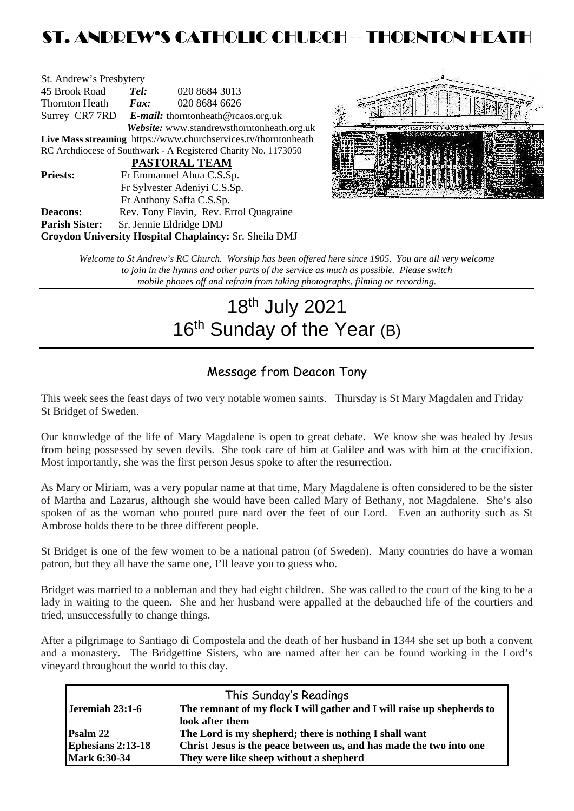## ST. ANDREW'S CATHOLIC CHURCH – THORNTON HEAT

| St. Andrew's Presbytery                                         |                                                   |               |  |  |  |
|-----------------------------------------------------------------|---------------------------------------------------|---------------|--|--|--|
| 45 Brook Road                                                   | Tel:                                              | 020 8684 3013 |  |  |  |
| Thornton Heath                                                  | Fax:                                              | 020 8684 6626 |  |  |  |
|                                                                 | Surrey CR7 7RD E-mail: thorntonheath@rcaos.org.uk |               |  |  |  |
| Website: www.standrewsthorntonheath.org.uk                      |                                                   |               |  |  |  |
| Live Mass streaming https://www.churchservices.tv/thorntonheath |                                                   |               |  |  |  |
| RC Archdiocese of Southwark - A Registered Charity No. 1173050  |                                                   |               |  |  |  |
| PASTORAL TEAM                                                   |                                                   |               |  |  |  |
| <b>Priests:</b>                                                 | Fr Emmanuel Ahua C.S.Sp.                          |               |  |  |  |
| Fr Sylvester Adeniyi C.S.Sp.                                    |                                                   |               |  |  |  |
|                                                                 | Fr Anthony Saffa C.S.Sp.                          |               |  |  |  |
| Deacons:                                                        | Rev. Tony Flavin, Rev. Errol Quagraine            |               |  |  |  |
| <b>Parish Sister:</b>                                           | Sr. Jennie Eldridge DMJ                           |               |  |  |  |
| Croydon University Hospital Chaplaincy: Sr. Sheila DMJ          |                                                   |               |  |  |  |



*Welcome to St Andrew's RC Church. Worship has been offered here since 1905. You are all very welcome to join in the hymns and other parts of the service as much as possible. Please switch mobile phones off and refrain from taking photographs, filming or recording.*

# 18th July 2021 16<sup>th</sup> Sunday of the Year (B)

### Message from Deacon Tony

This week sees the feast days of two very notable women saints. Thursday is St Mary Magdalen and Friday St Bridget of Sweden.

Our knowledge of the life of Mary Magdalene is open to great debate. We know she was healed by Jesus from being possessed by seven devils. She took care of him at Galilee and was with him at the crucifixion. Most importantly, she was the first person Jesus spoke to after the resurrection.

As Mary or Miriam, was a very popular name at that time, Mary Magdalene is often considered to be the sister of Martha and Lazarus, although she would have been called Mary of Bethany, not Magdalene. She's also spoken of as the woman who poured pure nard over the feet of our Lord. Even an authority such as St Ambrose holds there to be three different people.

St Bridget is one of the few women to be a national patron (of Sweden). Many countries do have a woman patron, but they all have the same one, I'll leave you to guess who.

Bridget was married to a nobleman and they had eight children. She was called to the court of the king to be a lady in waiting to the queen. She and her husband were appalled at the debauched life of the courtiers and tried, unsuccessfully to change things.

After a pilgrimage to Santiago di Compostela and the death of her husband in 1344 she set up both a convent and a monastery. The Bridgettine Sisters, who are named after her can be found working in the Lord's vineyard throughout the world to this day.

| This Sunday's Readings   |                                                                        |  |  |  |
|--------------------------|------------------------------------------------------------------------|--|--|--|
| Jeremiah 23:1-6          | The remnant of my flock I will gather and I will raise up shepherds to |  |  |  |
|                          | look after them                                                        |  |  |  |
| <b>Psalm 22</b>          | The Lord is my shepherd; there is nothing I shall want                 |  |  |  |
| <b>Ephesians 2:13-18</b> | Christ Jesus is the peace between us, and has made the two into one    |  |  |  |
| <b>Mark 6:30-34</b>      | They were like sheep without a shepherd                                |  |  |  |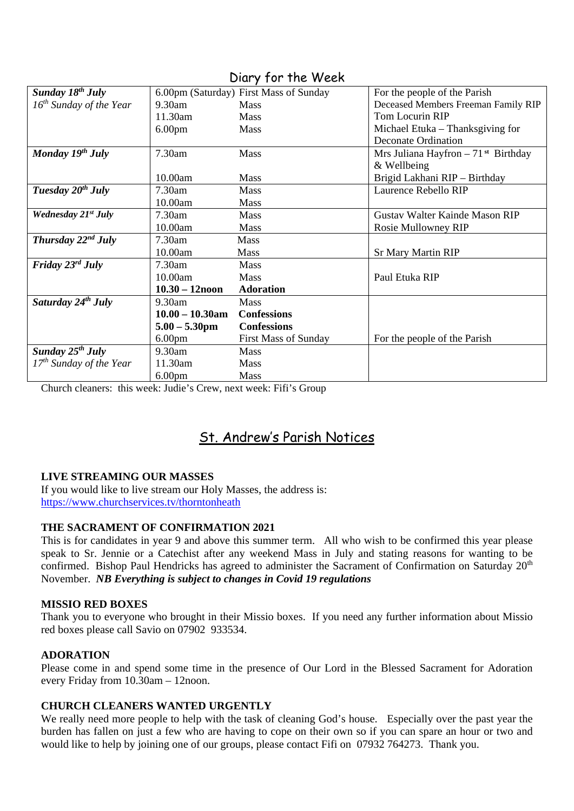| Sunday $18^{th}$ July           |                    | 6.00pm (Saturday) First Mass of Sunday | For the people of the Parish                     |
|---------------------------------|--------------------|----------------------------------------|--------------------------------------------------|
| $16^{th}$ Sunday of the Year    | 9.30am             | <b>Mass</b>                            | Deceased Members Freeman Family RIP              |
|                                 | 11.30am            | <b>Mass</b>                            | Tom Locurin RIP                                  |
|                                 | 6.00 <sub>pm</sub> | <b>Mass</b>                            | Michael Etuka – Thanksgiving for                 |
|                                 |                    |                                        | <b>Deconate Ordination</b>                       |
| Monday $19^{th}$ July           | 7.30am             | Mass                                   | Mrs Juliana Hayfron $-71$ <sup>st</sup> Birthday |
|                                 |                    |                                        | & Wellbeing                                      |
|                                 | 10.00am            | Mass                                   | Brigid Lakhani RIP - Birthday                    |
| Tuesday $20^{th}$ July          | 7.30am             | <b>Mass</b>                            | Laurence Rebello RIP                             |
|                                 | 10.00am            | <b>Mass</b>                            |                                                  |
| Wednesday 21 <sup>st</sup> July | 7.30am             | <b>Mass</b>                            | Gustav Walter Kainde Mason RIP                   |
|                                 | 10.00am            | <b>Mass</b>                            | Rosie Mullowney RIP                              |
| Thursday $22^{nd}$ July         | 7.30am             | <b>Mass</b>                            |                                                  |
|                                 | 10.00am            | Mass                                   | <b>Sr Mary Martin RIP</b>                        |
| Friday $23^{rd}$ July           | 7.30am             | Mass                                   |                                                  |
|                                 | 10.00am            | <b>Mass</b>                            | Paul Etuka RIP                                   |
|                                 | $10.30 - 12$ noon  | <b>Adoration</b>                       |                                                  |
| Saturday 24 <sup>th</sup> July  | 9.30am             | Mass                                   |                                                  |
|                                 | $10.00 - 10.30$ am | <b>Confessions</b>                     |                                                  |
|                                 | $5.00 - 5.30$ pm   | <b>Confessions</b>                     |                                                  |
|                                 | 6.00 <sub>pm</sub> | <b>First Mass of Sunday</b>            | For the people of the Parish                     |
| Sunday $25^{th}$ July           | 9.30am             | Mass                                   |                                                  |
| $17th$ Sunday of the Year       | 11.30am            | <b>Mass</b>                            |                                                  |
|                                 | 6.00 <sub>pm</sub> | <b>Mass</b>                            |                                                  |

Diary for the Week

Church cleaners: this week: Judie's Crew, next week: Fifi's Group

## St. Andrew's Parish Notices

#### **LIVE STREAMING OUR MASSES**

If you would like to live stream our Holy Masses, the address is: <https://www.churchservices.tv/thorntonheath>

#### **THE SACRAMENT OF CONFIRMATION 2021**

This is for candidates in year 9 and above this summer term. All who wish to be confirmed this year please speak to Sr. Jennie or a Catechist after any weekend Mass in July and stating reasons for wanting to be confirmed. Bishop Paul Hendricks has agreed to administer the Sacrament of Confirmation on Saturday 20<sup>th</sup> November. *NB Everything is subject to changes in Covid 19 regulations*

#### **MISSIO RED BOXES**

Thank you to everyone who brought in their Missio boxes. If you need any further information about Missio red boxes please call Savio on 07902 933534.

#### **ADORATION**

Please come in and spend some time in the presence of Our Lord in the Blessed Sacrament for Adoration every Friday from 10.30am – 12noon.

#### **CHURCH CLEANERS WANTED URGENTLY**

We really need more people to help with the task of cleaning God's house. Especially over the past year the burden has fallen on just a few who are having to cope on their own so if you can spare an hour or two and would like to help by joining one of our groups, please contact Fifi on 07932 764273. Thank you.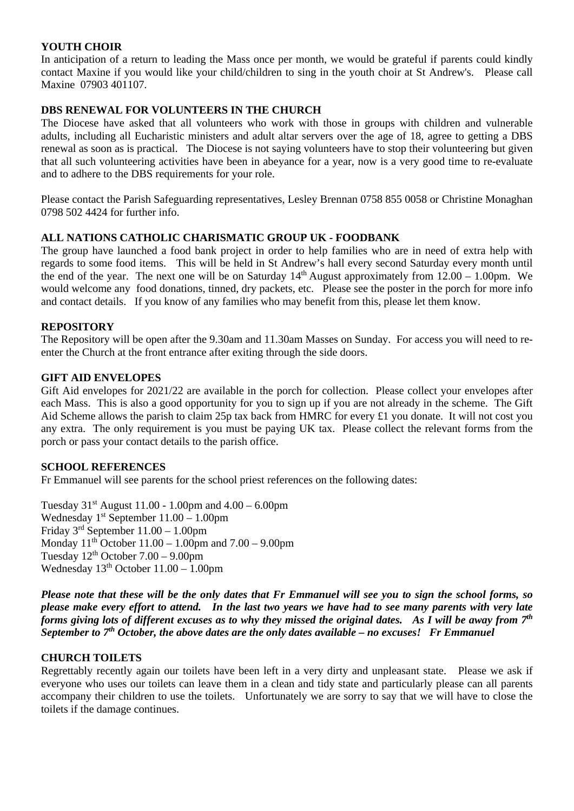#### **YOUTH CHOIR**

In anticipation of a return to leading the Mass once per month, we would be grateful if parents could kindly contact Maxine if you would like your child/children to sing in the youth choir at St Andrew's. Please call Maxine 07903 401107.

#### **DBS RENEWAL FOR VOLUNTEERS IN THE CHURCH**

The Diocese have asked that all volunteers who work with those in groups with children and vulnerable adults, including all Eucharistic ministers and adult altar servers over the age of 18, agree to getting a DBS renewal as soon as is practical. The Diocese is not saying volunteers have to stop their volunteering but given that all such volunteering activities have been in abeyance for a year, now is a very good time to re-evaluate and to adhere to the DBS requirements for your role.

Please contact the Parish Safeguarding representatives, Lesley Brennan 0758 855 0058 or Christine Monaghan 0798 502 4424 for further info.

#### **ALL NATIONS CATHOLIC CHARISMATIC GROUP UK - FOODBANK**

The group have launched a food bank project in order to help families who are in need of extra help with regards to some food items. This will be held in St Andrew's hall every second Saturday every month until the end of the year. The next one will be on Saturday  $14<sup>th</sup>$  August approximately from  $12.00 - 1.00$ pm. We would welcome any food donations, tinned, dry packets, etc. Please see the poster in the porch for more info and contact details. If you know of any families who may benefit from this, please let them know.

#### **REPOSITORY**

The Repository will be open after the 9.30am and 11.30am Masses on Sunday. For access you will need to reenter the Church at the front entrance after exiting through the side doors.

#### **GIFT AID ENVELOPES**

Gift Aid envelopes for 2021/22 are available in the porch for collection. Please collect your envelopes after each Mass. This is also a good opportunity for you to sign up if you are not already in the scheme. The Gift Aid Scheme allows the parish to claim 25p tax back from HMRC for every £1 you donate. It will not cost you any extra. The only requirement is you must be paying UK tax. Please collect the relevant forms from the porch or pass your contact details to the parish office.

#### **SCHOOL REFERENCES**

Fr Emmanuel will see parents for the school priest references on the following dates:

Tuesday  $31^{st}$  August 11.00 - 1.00pm and  $4.00 - 6.00$ pm Wednesday  $1<sup>st</sup>$  September  $11.00 - 1.00$ pm Friday 3rd September 11.00 – 1.00pm Monday  $11<sup>th</sup>$  October  $11.00 - 1.00$  pm and  $7.00 - 9.00$  pm Tuesday  $12^{th}$  October  $7.00 - 9.00$ pm Wednesday  $13<sup>th</sup>$  October  $11.00 - 1.00$ pm

*Please note that these will be the only dates that Fr Emmanuel will see you to sign the school forms, so please make every effort to attend. In the last two years we have had to see many parents with very late forms giving lots of different excuses as to why they missed the original dates. As I will be away from 7th September to 7th October, the above dates are the only dates available – no excuses! Fr Emmanuel*

#### **CHURCH TOILETS**

Regrettably recently again our toilets have been left in a very dirty and unpleasant state. Please we ask if everyone who uses our toilets can leave them in a clean and tidy state and particularly please can all parents accompany their children to use the toilets. Unfortunately we are sorry to say that we will have to close the toilets if the damage continues.